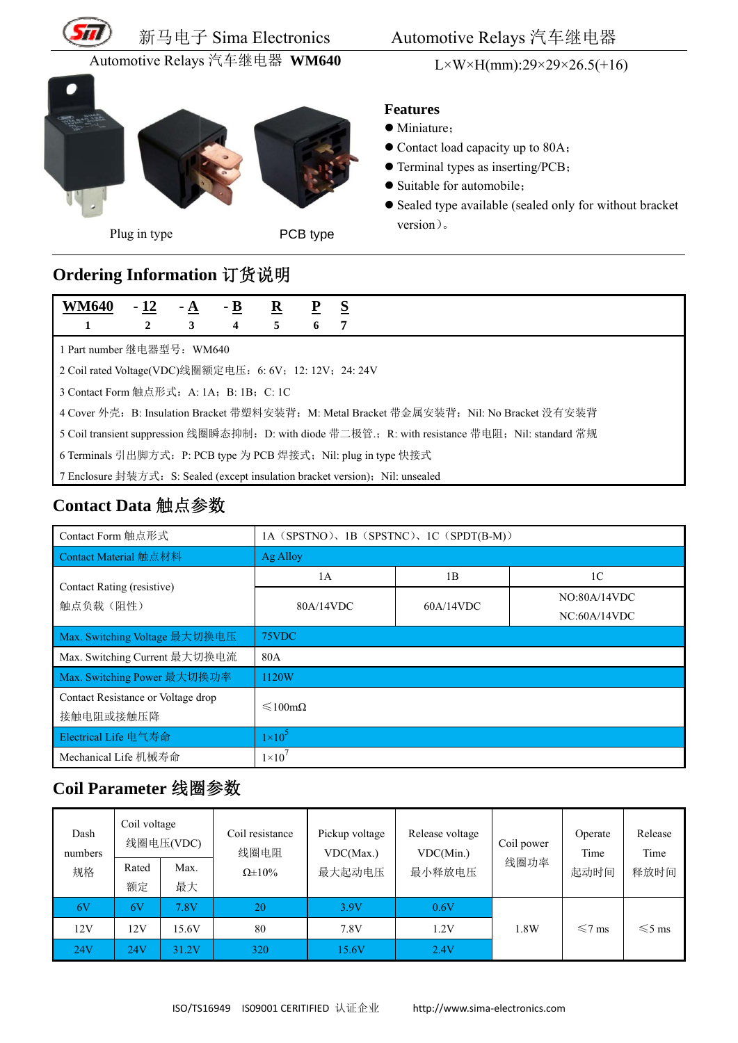

新马电子 子 Sima El lectronics

#### Automotive Relays 汽车继电器

Automotive Relays 汽车继电器 WM640





Plug g in type

 $L \times W \times H(mm): 29 \times 29 \times 26.5(+16)$ 

#### **Fe eatures**

- M Miniature;
- Contact load capacity up to 80A;
- Terminal types as inserting/PCB;
- Suitable for automobile;
- Sealed type available (sealed only for without bracket v version)。 S<br>
Automotiv<br>
L×W<br>
Teatures<br>
Contact load<br>
Contact load<br>
Contact load<br>
Contact load<br>
Contact load<br>
Contact load<br>
Contact load<br>
Contact load<br>
Contact load<br>
Contact load<br>
Contact load<br>
Contact load<br>
Contact load<br>
Contact loa

## **O rdering I nformatio on** 订货说 说明

| WM640                                                                                             | $-12$                                                                          | - A | - B | $\overline{\mathbf{R}}$ |   | S |  |
|---------------------------------------------------------------------------------------------------|--------------------------------------------------------------------------------|-----|-----|-------------------------|---|---|--|
|                                                                                                   | 2                                                                              | 3   | 4   | 5                       | 6 |   |  |
| 1 Part number 继电器型号: WM640                                                                        |                                                                                |     |     |                         |   |   |  |
|                                                                                                   | 2 Coil rated Voltage(VDC)线圈额定电压: 6: 6V; 12: 12V; 24: 24V                       |     |     |                         |   |   |  |
| 3 Contact Form 触点形式: A: 1A; B: 1B; C: 1C                                                          |                                                                                |     |     |                         |   |   |  |
| 4 Cover 外壳: B: Insulation Bracket 带塑料安装背; M: Metal Bracket 带金属安装背; Nil: No Bracket 没有安装背          |                                                                                |     |     |                         |   |   |  |
| 5 Coil transient suppression 线圈瞬态抑制: D: with diode 带二极管: R: with resistance 带电阻; Nil: standard 常规 |                                                                                |     |     |                         |   |   |  |
| 6 Terminals 引出脚方式: P: PCB type 为 PCB 焊接式; Nil: plug in type 快接式                                   |                                                                                |     |     |                         |   |   |  |
|                                                                                                   | 7 Enclosure 封装方式: S: Sealed (except insulation bracket version); Nil: unsealed |     |     |                         |   |   |  |

## Contact Data 触点参数

| Plug in type                                             |                             | PCB type        |                                              |                                                                                                    |                              |                                                                                |                                                                                          |                              |                         |                         |  |
|----------------------------------------------------------|-----------------------------|-----------------|----------------------------------------------|----------------------------------------------------------------------------------------------------|------------------------------|--------------------------------------------------------------------------------|------------------------------------------------------------------------------------------|------------------------------|-------------------------|-------------------------|--|
| Ordering Information 订货说明                                |                             |                 |                                              |                                                                                                    |                              |                                                                                |                                                                                          |                              |                         |                         |  |
| <b>WM640</b><br>1                                        | - <u>12</u><br>$\mathbf{2}$ | <u>- A</u><br>3 | - <u>B</u><br>$\overline{\mathbf{4}}$        | $\overline{\mathbf{R}}$<br>$\overline{5}$                                                          | $\overline{\mathbf{b}}$<br>6 | $\underline{\underline{\mathbf{S}}}$<br>$\overline{7}$                         |                                                                                          |                              |                         |                         |  |
| 1 Part number 继电器型号: WM640                               |                             |                 |                                              |                                                                                                    |                              |                                                                                |                                                                                          |                              |                         |                         |  |
| 2 Coil rated Voltage(VDC)线圈额定电压: 6: 6V; 12: 12V; 24: 24V |                             |                 |                                              |                                                                                                    |                              |                                                                                |                                                                                          |                              |                         |                         |  |
| 3 Contact Form 触点形式: A: 1A; B: 1B; C: 1C                 |                             |                 |                                              |                                                                                                    |                              |                                                                                |                                                                                          |                              |                         |                         |  |
|                                                          |                             |                 |                                              |                                                                                                    |                              |                                                                                | 4 Cover 外壳: B: Insulation Bracket 带塑料安装背; M: Metal Bracket 带金属安装背; Nil: No Bracket 没有安装背 |                              |                         |                         |  |
|                                                          |                             |                 |                                              | 5 Coil transient suppression 线圈瞬态抑制: D: with diode 带二极管:, R: with resistance 带电阻; Nil: standard 常规 |                              |                                                                                |                                                                                          |                              |                         |                         |  |
|                                                          |                             |                 |                                              |                                                                                                    |                              | 6 Terminals 引出脚方式: P: PCB type 为 PCB 焊接式; Nil: plug in type 快接式                |                                                                                          |                              |                         |                         |  |
|                                                          |                             |                 |                                              |                                                                                                    |                              | 7 Enclosure 封装方式: S: Sealed (except insulation bracket version); Nil: unsealed |                                                                                          |                              |                         |                         |  |
| Contact Data 触点参数                                        |                             |                 |                                              |                                                                                                    |                              |                                                                                |                                                                                          |                              |                         |                         |  |
| Contact Form 触点形式                                        |                             |                 |                                              | 1A (SPSTNO), 1B (SPSTNC), 1C (SPDT(B-M))                                                           |                              |                                                                                |                                                                                          |                              |                         |                         |  |
| Contact Material 触点材料                                    |                             |                 |                                              | Ag Alloy                                                                                           |                              |                                                                                |                                                                                          |                              |                         |                         |  |
|                                                          |                             |                 |                                              | 1A                                                                                                 |                              |                                                                                | 1B                                                                                       |                              | 1 <sup>C</sup>          |                         |  |
| Contact Rating (resistive)<br>触点负载(阻性)                   |                             |                 |                                              | 80A/14VDC                                                                                          |                              |                                                                                | 60A/14VDC                                                                                | NO:80A/14VDC<br>NC:60A/14VDC |                         |                         |  |
| Max. Switching Voltage 最大切换电压                            |                             |                 |                                              | 75VDC                                                                                              |                              |                                                                                |                                                                                          |                              |                         |                         |  |
| Max. Switching Current 最大切换电流                            |                             |                 |                                              | 80A                                                                                                |                              |                                                                                |                                                                                          |                              |                         |                         |  |
| Max. Switching Power 最大切换功率                              |                             |                 |                                              | 1120W                                                                                              |                              |                                                                                |                                                                                          |                              |                         |                         |  |
| Contact Resistance or Voltage drop<br>接触电阻或接触压降          |                             |                 |                                              | ≤100mΩ                                                                                             |                              |                                                                                |                                                                                          |                              |                         |                         |  |
| Electrical Life 电气寿命                                     |                             |                 |                                              | $1\times10^5$                                                                                      |                              |                                                                                |                                                                                          |                              |                         |                         |  |
| Mechanical Life 机械寿命                                     |                             |                 |                                              | $1\times10^7$                                                                                      |                              |                                                                                |                                                                                          |                              |                         |                         |  |
| Coil Parameter 线圈参数                                      |                             |                 |                                              |                                                                                                    |                              |                                                                                |                                                                                          |                              |                         |                         |  |
| Dash<br>numbers                                          | Coil voltage<br>线圈电压(VDC)   |                 | Coil resistance<br>线圈电阻<br>$\Omega \pm 10\%$ |                                                                                                    |                              | Pickup voltage<br>VDC(Max.)<br>最大起动电压                                          | Release voltage<br>VDC(Min.)<br>最小释放电压                                                   | Coil power<br>线圈功率           | Operate<br>Time<br>起动时间 | Release<br>Time<br>释放时间 |  |
| 规格                                                       | Rated<br>Max.<br>额定<br>最大   |                 |                                              |                                                                                                    |                              |                                                                                |                                                                                          |                              |                         |                         |  |
| 6V                                                       | 6V                          | 7.8V            |                                              | 20                                                                                                 |                              | 3.9V                                                                           | 0.6V                                                                                     |                              |                         |                         |  |
| 12V                                                      | 12V                         | 15.6V           |                                              | $80\,$                                                                                             |                              | 7.8V                                                                           | 1.2V                                                                                     | $1.8\mathrm{W}$              | $\leq 7$ ms             | $\leq 5$ ms             |  |
| 24V                                                      | <b>24V</b>                  | 31.2V           | 320                                          |                                                                                                    |                              | 15.6V                                                                          | 2.4V                                                                                     |                              |                         |                         |  |

## **Co oil Param meter** 线圈 圈参数

| Dash<br>numbers | Coil voltage | 线圈电压(VDC) | Coil resistance<br>线圈电阻 | Pickup voltage<br>VDC(Max.) | Release voltage<br>VDC(Min.) | Coil power<br>线圈功率 | Operate<br>Time | Release<br>Time |
|-----------------|--------------|-----------|-------------------------|-----------------------------|------------------------------|--------------------|-----------------|-----------------|
| 规格              | Rated        | Max.      | $\Omega \pm 10\%$       | 最大起动电压                      | 最小释放电压                       |                    | 起动时间            | 释放时间            |
|                 | 额定           | 最大        |                         |                             |                              |                    |                 |                 |
| 6V              | 6V           | 7.8V      | 20                      | 3.9V                        | 0.6V                         |                    |                 |                 |
| 12V             | 12V          | 15.6V     | 80                      | 7.8V                        | 1.2V                         | 1.8W               | $\leq 7$ ms     | $\leq 5$ ms     |
| 24V             | 24V          | 31.2V     | 320                     | 15.6V                       | 2.4V                         |                    |                 |                 |